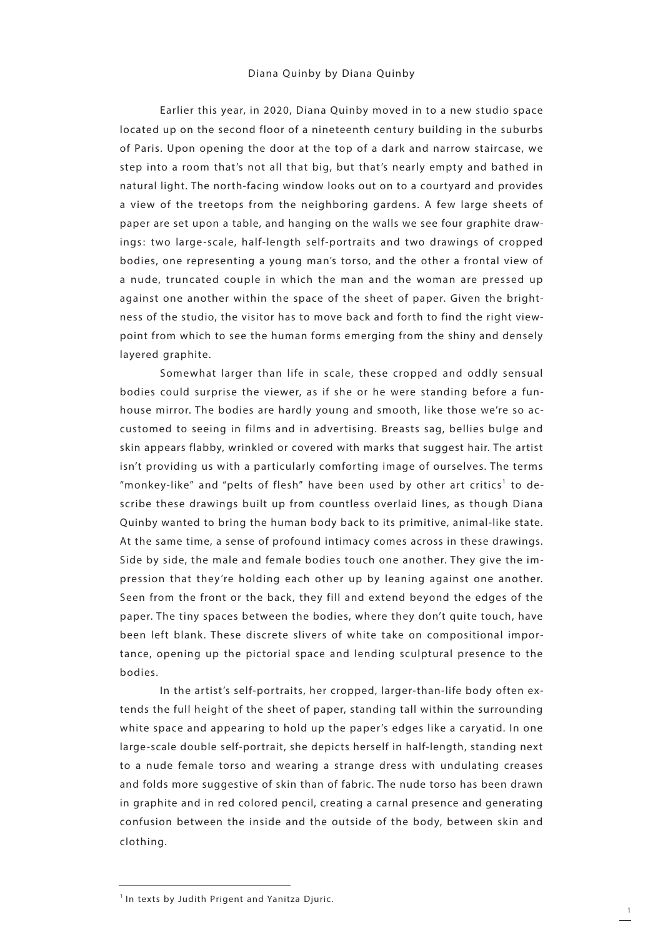Earlier this year, in 2020, Diana Quinby moved in to a new studio space located up on the second floor of a nineteenth century building in the suburbs of Paris. Upon opening the door at the top of a dark and narrow staircase, we step into a room that's not all that big, but that's nearly empty and bathed in natural light. The north-facing window looks out on to a courtyard and provides a view of the treetops from the neighboring gardens. A few large sheets of paper are set upon a table, and hanging on the walls we see four graphite drawings: two large-scale, half-length self-portraits and two drawings of cropped bodies, one representing a young man's torso, and the other a frontal view of a nude, truncated couple in which the man and the woman are pressed up against one another within the space of the sheet of paper. Given the brightness of the studio, the visitor has to move back and forth to find the right viewpoint from which to see the human forms emerging from the shiny and densely layered graphite.

Somewhat larger than life in scale, these cropped and oddly sensual bodies could surprise the viewer, as if she or he were standing before a funhouse mirror. The bodies are hardly young and smooth, like those we're so accustomed to seeing in films and in advertising. Breasts sag, bellies bulge and skin appears flabby, wrinkled or covered with marks that suggest hair. The artist isn't providing us with a particularly comforting image of ourselves. The terms "monkey-like" and "pelts of flesh" have been used by other art critics<sup>1</sup> to describe these drawings built up from countless overlaid lines, as though Diana Quinby wanted to bring the human body back to its primitive, animal-like state. At the same time, a sense of profound intimacy comes across in these drawings. Side by side, the male and female bodies touch one another. They give the impression that they're holding each other up by leaning against one another. Seen from the front or the back, they fill and extend beyond the edges of the paper. The tiny spaces between the bodies, where they don't quite touch, have been left blank. These discrete slivers of white take on compositional importance, opening up the pictorial space and lending sculptural presence to the bodies.

In the artist's self-portraits, her cropped, larger-than-life body often extends the full height of the sheet of paper, standing tall within the surrounding white space and appearing to hold up the paper's edges like a caryatid. In one large-scale double self-portrait, she depicts herself in half-length, standing next to a nude female torso and wearing a strange dress with undulating creases and folds more suggestive of skin than of fabric. The nude torso has been drawn in graphite and in red colored pencil, creating a carnal presence and generating confusion between the inside and the outside of the body, between skin and clothing.

<sup>&</sup>lt;sup>1</sup> In texts by Judith Prigent and Yanitza Djuric.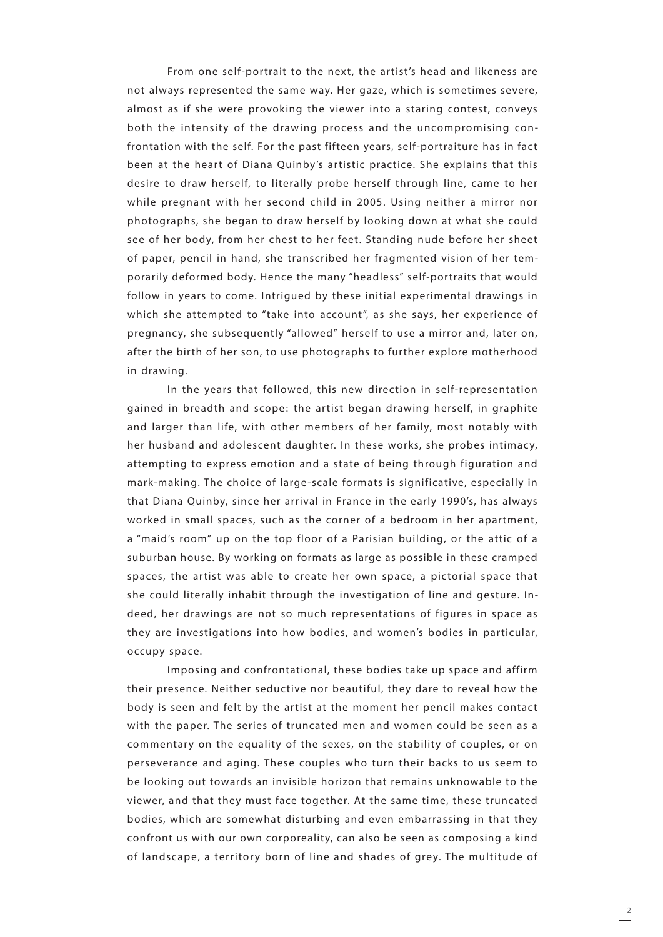From one self-portrait to the next, the artist's head and likeness are not always represented the same way. Her gaze, which is sometimes severe, almost as if she were provoking the viewer into a staring contest, conveys both the intensity of the drawing process and the uncompromising confrontation with the self. For the past fifteen years, self-portraiture has in fact been at the heart of Diana Quinby's artistic practice. She explains that this desire to draw herself, to literally probe herself through line, came to her while pregnant with her second child in 2005. Using neither a mirror nor photographs, she began to draw herself by looking down at what she could see of her body, from her chest to her feet. Standing nude before her sheet of paper, pencil in hand, she transcribed her fragmented vision of her temporarily deformed body. Hence the many "headless" self-portraits that would follow in years to come. Intrigued by these initial experimental drawings in which she attempted to "take into account", as she says, her experience of pregnancy, she subsequently "allowed" herself to use a mirror and, later on, after the birth of her son, to use photographs to further explore motherhood in drawing.

In the years that followed, this new direction in self-representation gained in breadth and scope: the artist began drawing herself, in graphite and larger than life, with other members of her family, most notably with her husband and adolescent daughter. In these works, she probes intimacy, attempting to express emotion and a state of being through figuration and mark-making. The choice of large-scale formats is significative, especially in that Diana Quinby, since her arrival in France in the early 1990's, has always worked in small spaces, such as the corner of a bedroom in her apartment, a "maid's room" up on the top floor of a Parisian building, or the attic of a suburban house. By working on formats as large as possible in these cramped spaces, the artist was able to create her own space, a pictorial space that she could literally inhabit through the investigation of line and gesture. Indeed, her drawings are not so much representations of figures in space as they are investigations into how bodies, and women's bodies in particular, occupy space.

Imposing and confrontational, these bodies take up space and affirm their presence. Neither seductive nor beautiful, they dare to reveal how the body is seen and felt by the artist at the moment her pencil makes contact with the paper. The series of truncated men and women could be seen as a commentary on the equality of the sexes, on the stability of couples, or on perseverance and aging. These couples who turn their backs to us seem to be looking out towards an invisible horizon that remains unknowable to the viewer, and that they must face together. At the same time, these truncated bodies, which are somewhat disturbing and even embarrassing in that they confront us with our own corporeality, can also be seen as composing a kind of landscape, a territory born of line and shades of grey. The multitude of